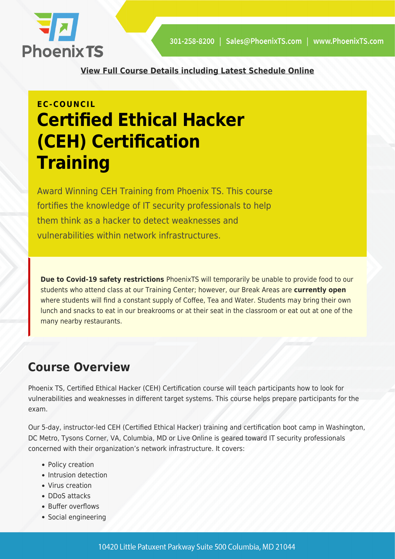

**[View Full Course Details including Latest Schedule Online](https://phoenixts.com/training-courses/ceh-certification-training-washington-dc/)**

# **EC-COUNCIL Certified Ethical Hacker (CEH) Certification Training**

Award Winning CEH Training from Phoenix TS. This course fortifies the knowledge of IT security professionals to help them think as a hacker to detect weaknesses and vulnerabilities within network infrastructures.

**Due to Covid-19 safety restrictions** PhoenixTS will temporarily be unable to provide food to our students who attend class at our Training Center; however, our Break Areas are **currently open** where students will find a constant supply of Coffee, Tea and Water. Students may bring their own lunch and snacks to eat in our breakrooms or at their seat in the classroom or eat out at one of the many nearby restaurants.

# **Course Overview**

Phoenix TS, Certified Ethical Hacker (CEH) Certification course will teach participants how to look for vulnerabilities and weaknesses in different target systems. This course helps prepare participants for the exam.

Our 5-day, instructor-led CEH (Certified Ethical Hacker) training and certification boot camp in Washington, DC Metro, Tysons Corner, VA, Columbia, MD or Live Online is geared toward IT security professionals concerned with their organization's network infrastructure. It covers:

- Policy creation
- Intrusion detection
- Virus creation
- DDoS attacks
- Buffer overflows
- Social engineering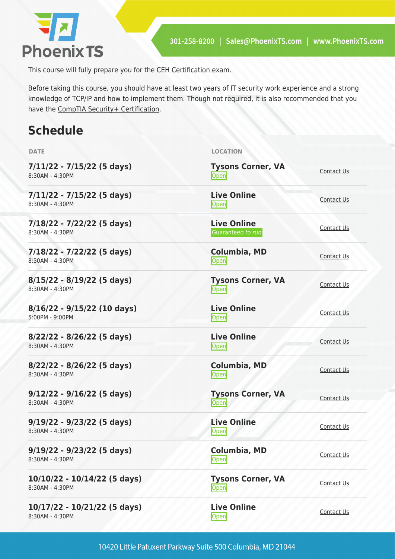

This course will fully prepare you for the [CEH Certification exam.](https://phoenixts.com/2017/08/25/what-is-ceh-certification/)

Before taking this course, you should have at least two years of IT security work experience and a strong knowledge of TCP/IP and how to implement them. Though not required, it is also recommended that you have the [CompTIA Security+ Certification](https://phoenixts.com/training-courses/comptia-security-plus-certification-training/).

# **Schedule**

| <b>DATE</b>                                        | <b>LOCATION</b>                         |                   |
|----------------------------------------------------|-----------------------------------------|-------------------|
| $7/11/22 - 7/15/22$ (5 days)<br>8:30AM - 4:30PM    | <b>Tysons Corner, VA</b><br>Open        | Contact Us        |
| $7/11/22 - 7/15/22$ (5 days)<br>8:30AM - 4:30PM    | <b>Live Online</b><br>Open              | Contact Us        |
| $7/18/22 - 7/22/22$ (5 days)<br>8:30AM - 4:30PM    | <b>Live Online</b><br>Guaranteed to run | Contact Us        |
| 7/18/22 - 7/22/22 (5 days)<br>8:30AM - 4:30PM      | Columbia, MD<br>Open                    | Contact Us        |
| $8/15/22 - 8/19/22$ (5 days)<br>8:30AM - 4:30PM    | <b>Tysons Corner, VA</b><br>Open        | Contact Us        |
| $8/16/22 - 9/15/22$ (10 days)<br>$5:00PM - 9:00PM$ | <b>Live Online</b><br>Open              | Contact Us        |
| $8/22/22 - 8/26/22$ (5 days)<br>8:30AM - 4:30PM    | <b>Live Online</b><br>Open              | Contact Us        |
| 8/22/22 - 8/26/22 (5 days)<br>8:30AM - 4:30PM      | <b>Columbia, MD</b><br>Open             | Contact Us        |
| $9/12/22 - 9/16/22$ (5 days)<br>8:30AM - 4:30PM    | <b>Tysons Corner, VA</b><br>Open        | Contact Us        |
| $9/19/22 - 9/23/22$ (5 days)<br>8:30AM - 4:30PM    | <b>Live Online</b><br>Open              | <b>Contact Us</b> |
| $9/19/22 - 9/23/22$ (5 days)<br>8:30AM - 4:30PM    | <b>Columbia, MD</b><br>Open             | <b>Contact Us</b> |
| 10/10/22 - 10/14/22 (5 days)<br>8:30AM - 4:30PM    | <b>Tysons Corner, VA</b><br>Open        | <b>Contact Us</b> |
| 10/17/22 - 10/21/22 (5 days)<br>8:30AM - 4:30PM    | <b>Live Online</b><br><b>Open</b>       | Contact Us        |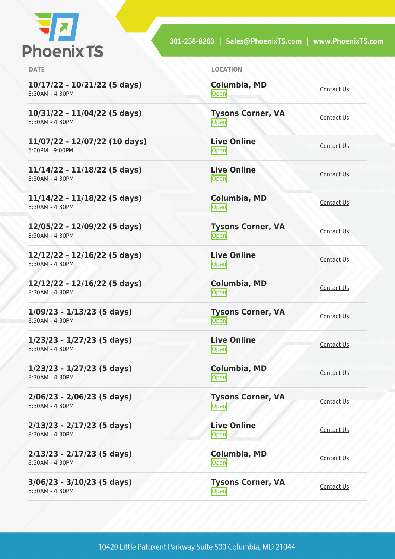

301-258-8200 | Sales@PhoenixTS.com | www.PhoenixTS.com

| <b>DATE</b>                                      | <b>LOCATION</b>                    |                   |
|--------------------------------------------------|------------------------------------|-------------------|
| 10/17/22 - 10/21/22 (5 days)<br>8:30AM - 4:30PM  | <b>Columbia, MD</b><br><b>Open</b> | Contact Us        |
| 10/31/22 - 11/04/22 (5 days)<br>8:30AM - 4:30PM  | <b>Tysons Corner, VA</b><br>Open   | Contact Us        |
| 11/07/22 - 12/07/22 (10 days)<br>5:00PM - 9:00PM | <b>Live Online</b><br><b>Open</b>  | Contact Us        |
| 11/14/22 - 11/18/22 (5 days)<br>8:30AM - 4:30PM  | <b>Live Online</b><br>Open         | Contact Us        |
| 11/14/22 - 11/18/22 (5 days)<br>8:30AM - 4:30PM  | <b>Columbia, MD</b><br>Open        | Contact Us        |
| 12/05/22 - 12/09/22 (5 days)<br>8:30AM - 4:30PM  | <b>Tysons Corner, VA</b><br>Open   | Contact Us        |
| 12/12/22 - 12/16/22 (5 days)<br>8:30AM - 4:30PM  | <b>Live Online</b><br>Open         | <b>Contact Us</b> |
| 12/12/22 - 12/16/22 (5 days)<br>8:30AM - 4:30PM  | Columbia, MD<br>Open               | <b>Contact Us</b> |
| $1/09/23 - 1/13/23$ (5 days)<br>8:30AM - 4:30PM  | <b>Tysons Corner, VA</b><br>Open   | Contact Us        |
| $1/23/23 - 1/27/23$ (5 days)<br>8:30AM - 4:30PM  | <b>Live Online</b><br><b>Open</b>  | Contact Us        |
| $1/23/23 - 1/27/23$ (5 days)<br>8:30AM - 4:30PM  | <b>Columbia, MD</b><br>Open        | Contact Us        |
| $2/06/23 - 2/06/23$ (5 days)<br>8:30AM - 4:30PM  | <b>Tysons Corner, VA</b><br>Open   | Contact Us        |
| 2/13/23 - 2/17/23 (5 days)<br>8:30AM - 4:30PM    | <b>Live Online</b><br>Open         | Contact Us        |
| 2/13/23 - 2/17/23 (5 days)<br>8:30AM - 4:30PM    | Columbia, MD<br>Open               | Contact Us        |
| 3/06/23 - 3/10/23 (5 days)<br>8:30AM - 4:30PM    | <b>Tysons Corner, VA</b><br>Open   | Contact Us        |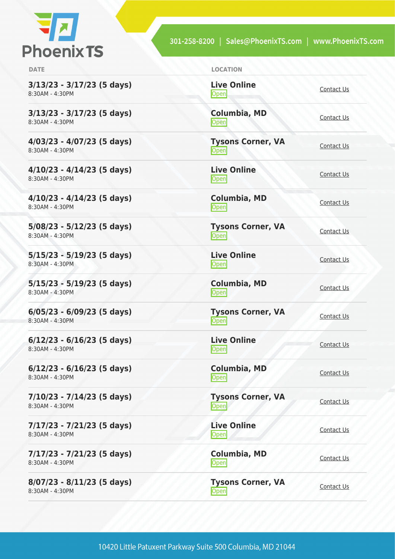

301-258-8200 | Sales@PhoenixTS.com | www.PhoenixTS.com

**3/13/23 - 3/17/23 (5 days)** 8:30AM - 4:30PM

**3/13/23 - 3/17/23 (5 days)** 8:30AM - 4:30PM

**4/03/23 - 4/07/23 (5 days)** 8:30AM - 4:30PM

**4/10/23 - 4/14/23 (5 days)** 8:30AM - 4:30PM

**4/10/23 - 4/14/23 (5 days)** 8:30AM - 4:30PM

**5/08/23 - 5/12/23 (5 days)** 8:30AM - 4:30PM

**5/15/23 - 5/19/23 (5 days)** 8:30AM - 4:30PM

**5/15/23 - 5/19/23 (5 days)** 8:30AM - 4:30PM

**6/05/23 - 6/09/23 (5 days)** 8:30AM - 4:30PM

**6/12/23 - 6/16/23 (5 days)** 8:30AM - 4:30PM

**6/12/23 - 6/16/23 (5 days)** 8:30AM - 4:30PM

**7/10/23 - 7/14/23 (5 days)** 8:30AM - 4:30PM

**7/17/23 - 7/21/23 (5 days)** 8:30AM - 4:30PM

**7/17/23 - 7/21/23 (5 days)** 8:30AM - 4:30PM

**8/07/23 - 8/11/23 (5 days)** 8:30AM - 4:30PM

| <b>DATE</b> | <b>LOCATION</b> |
|-------------|-----------------|
|             |                 |

**Live Online** <u>[Contact Us](https://phoenixts.com/schedule/more-info/?class=28402)</u>

**Columbia, MD** [Contact Us](https://phoenixts.com/schedule/more-info/?class=28410)

**Tysons Corner, VA Open** [Contact Us](https://phoenixts.com/schedule/more-info/?class=28371)

**Live Online** <u>[Contact Us](https://phoenixts.com/schedule/more-info/?class=28404)</u>

**Columbia, MD** [Contact Us](https://phoenixts.com/schedule/more-info/?class=28412)<br>
Open

**Tysons Corner, VA**

[Contact Us](https://phoenixts.com/schedule/more-info/?class=28372)

**Live Online** <u>Open</u><br>Open [Contact Us](https://phoenixts.com/schedule/more-info/?class=28406)

**Columbia, MD** [Contact Us](https://phoenixts.com/schedule/more-info/?class=28414)<br>
Open

**Tysons Corner, VA** Tyson's Corner, VA<br>
Open

**Live Online [Contact Us](https://phoenixts.com/schedule/more-info/?class=28392)** 

**Columbia, MD** [Contact Us](https://phoenixts.com/schedule/more-info/?class=28415)<br>
Open Contact Us

**Tysons Corner, VA Open** [Contact Us](https://phoenixts.com/schedule/more-info/?class=28379)

**Live Online [Contact Us](https://phoenixts.com/schedule/more-info/?class=28393) Columbia, MD** [Contact Us](https://phoenixts.com/schedule/more-info/?class=28417)<br>
Open

**Tysons Corner, VA Open** [Contact Us](https://phoenixts.com/schedule/more-info/?class=28378)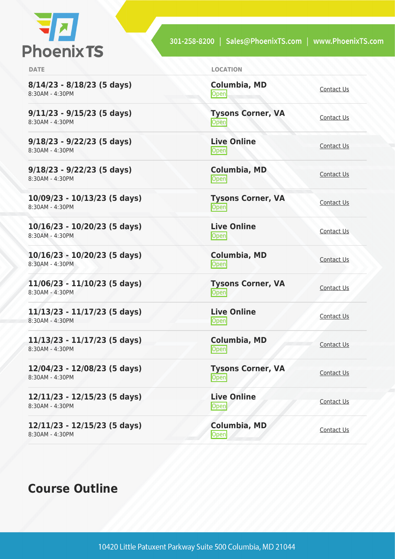

301-258-8200 | Sales@PhoenixTS.com | www.PhoenixTS.com

**8/14/23 - 8/18/23 (5 days)** 8:30AM - 4:30PM

**9/11/23 - 9/15/23 (5 days)** 8:30AM - 4:30PM

**9/18/23 - 9/22/23 (5 days)** 8:30AM - 4:30PM

**9/18/23 - 9/22/23 (5 days)** 8:30AM - 4:30PM

**10/09/23 - 10/13/23 (5 days)** 8:30AM - 4:30PM

**10/16/23 - 10/20/23 (5 days)** 8:30AM - 4:30PM

**10/16/23 - 10/20/23 (5 days)** 8:30AM - 4:30PM

**11/06/23 - 11/10/23 (5 days)** 8:30AM - 4:30PM

**11/13/23 - 11/17/23 (5 days)** 8:30AM - 4:30PM

**11/13/23 - 11/17/23 (5 days)** 8:30AM - 4:30PM

**12/04/23 - 12/08/23 (5 days)** 8:30AM - 4:30PM

**12/11/23 - 12/15/23 (5 days)** 8:30AM - 4:30PM

**12/11/23 - 12/15/23 (5 days)** 8:30AM - 4:30PM

# **Course Outline**

**DATE LOCATION**

**Columbia, MD** [Contact Us](https://phoenixts.com/schedule/more-info/?class=28398)<br>
Open **Tysons Corner, VA** <u>Open</u> **Live Online** <u>Open</u> [Contact Us](https://phoenixts.com/schedule/more-info/?class=28397) **Columbia, MD** [Contact Us](https://phoenixts.com/schedule/more-info/?class=28419)<br>
Open Contact Us **Tysons Corner, VA Open** [Contact Us](https://phoenixts.com/schedule/more-info/?class=28376) **Live Online** <u>Open</u> [Contact Us](https://phoenixts.com/schedule/more-info/?class=28396) **Columbia, MD [Contact Us](https://phoenixts.com/schedule/more-info/?class=28421)**<br>Open **Tysons Corner, VA Open** [Contact Us](https://phoenixts.com/schedule/more-info/?class=28375) **Live Online** <u>Open</u> [Contact Us](https://phoenixts.com/schedule/more-info/?class=28395) **Columbia, MD** [Contact Us](https://phoenixts.com/schedule/more-info/?class=28420)<br>Open

**Tysons Corner, VA Open** [Contact Us](https://phoenixts.com/schedule/more-info/?class=28374)

**Columbia, MD**

**Live Online Open** [Contact Us](https://phoenixts.com/schedule/more-info/?class=28394)

[Contact Us](https://phoenixts.com/schedule/more-info/?class=28422)<br>
Open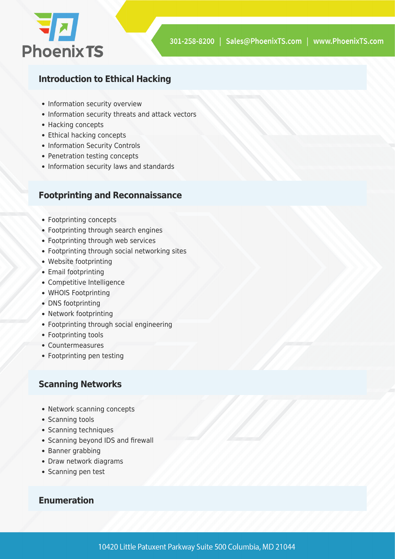

#### **Introduction to Ethical Hacking**

- Information security overview
- Information security threats and attack vectors
- Hacking concepts
- Ethical hacking concepts
- Information Security Controls
- Penetration testing concepts
- Information security laws and standards

#### **Footprinting and Reconnaissance**

- Footprinting concepts
- Footprinting through search engines
- Footprinting through web services
- Footprinting through social networking sites
- Website footprinting
- Email footprinting
- Competitive Intelligence
- WHOIS Footprinting
- DNS footprinting
- Network footprinting
- Footprinting through social engineering
- Footprinting tools
- Countermeasures
- Footprinting pen testing

#### **Scanning Networks**

- Network scanning concepts
- Scanning tools
- Scanning techniques
- Scanning beyond IDS and firewall
- Banner grabbing
- Draw network diagrams
- Scanning pen test

#### **Enumeration**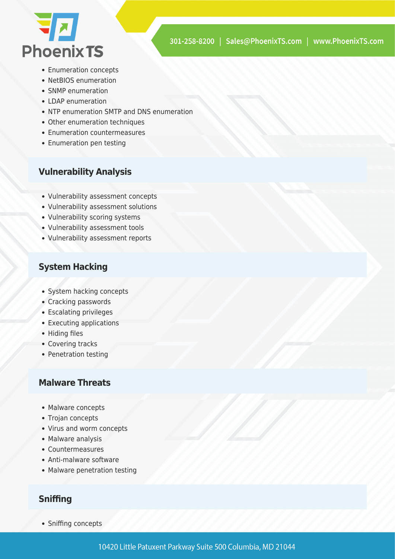

- Enumeration concepts
- NetBIOS enumeration
- SNMP enumeration
- $\bullet$  LDAP enumeration
- NTP enumeration SMTP and DNS enumeration
- Other enumeration techniques
- Enumeration countermeasures
- Enumeration pen testing

#### **Vulnerability Analysis**

- Vulnerability assessment concepts
- Vulnerability assessment solutions
- Vulnerability scoring systems
- Vulnerability assessment tools
- Vulnerability assessment reports

#### **System Hacking**

- System hacking concepts
- Cracking passwords
- Escalating privileges
- Executing applications
- Hiding files
- Covering tracks
- Penetration testing

#### **Malware Threats**

- Malware concepts
- Trojan concepts
- Virus and worm concepts
- Malware analysis
- Countermeasures
- Anti-malware software
- Malware penetration testing

#### **Sniffing**

• Sniffing concepts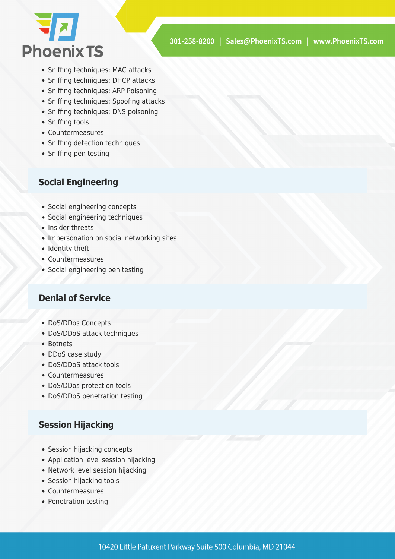

- Sniffing techniques: MAC attacks
- Sniffing techniques: DHCP attacks
- Sniffing techniques: ARP Poisoning
- Sniffing techniques: Spoofing attacks
- Sniffing techniques: DNS poisoning
- Sniffing tools
- Countermeasures
- Sniffing detection techniques
- Sniffing pen testing

#### **Social Engineering**

- Social engineering concepts
- Social engineering techniques
- Insider threats
- Impersonation on social networking sites
- Identity theft
- Countermeasures
- Social engineering pen testing

#### **Denial of Service**

- DoS/DDos Concepts
- DoS/DDoS attack techniques
- Botnets
- DDoS case study
- DoS/DDoS attack tools
- Countermeasures
- DoS/DDos protection tools
- DoS/DDoS penetration testing

#### **Session Hijacking**

- Session hijacking concepts
- Application level session hijacking
- Network level session hijacking
- Session hijacking tools
- Countermeasures
- Penetration testing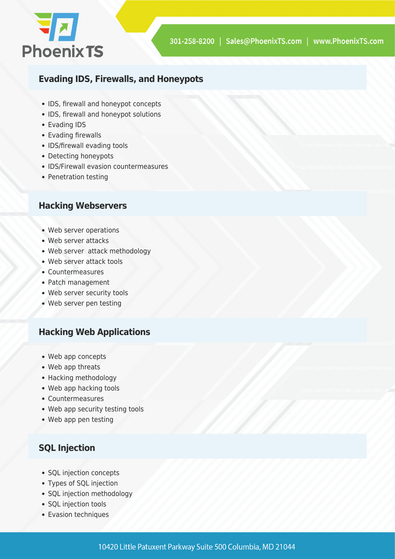

#### **Evading IDS, Firewalls, and Honeypots**

- IDS, firewall and honeypot concepts
- IDS, firewall and honeypot solutions
- Evading IDS
- Evading firewalls
- IDS/firewall evading tools
- Detecting honeypots
- IDS/Firewall evasion countermeasures
- Penetration testing

#### **Hacking Webservers**

- Web server operations
- Web server attacks
- Web server attack methodology
- Web server attack tools
- Countermeasures
- Patch management
- Web server security tools
- Web server pen testing

#### **Hacking Web Applications**

- Web app concepts
- Web app threats
- Hacking methodology
- Web app hacking tools
- Countermeasures
- Web app security testing tools
- Web app pen testing

#### **SQL Injection**

- SQL injection concepts
- Types of SQL injection
- SQL injection methodology
- SQL injection tools
- Evasion techniques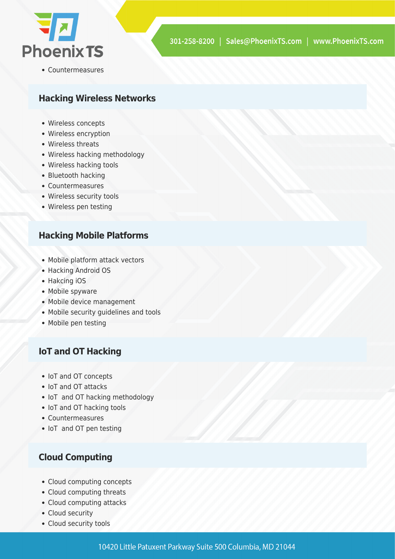

Countermeasures

#### **Hacking Wireless Networks**

- Wireless concepts
- Wireless encryption
- Wireless threats
- Wireless hacking methodology
- Wireless hacking tools
- Bluetooth hacking
- Countermeasures
- Wireless security tools
- Wireless pen testing

#### **Hacking Mobile Platforms**

- Mobile platform attack vectors
- Hacking Android OS
- Hakcing iOS
- Mobile spyware
- Mobile device management
- Mobile security guidelines and tools
- Mobile pen testing

#### **IoT and OT Hacking**

- IoT and OT concepts
- IoT and OT attacks
- IoT and OT hacking methodology
- IoT and OT hacking tools
- Countermeasures
- IoT and OT pen testing

#### **Cloud Computing**

- Cloud computing concepts
- Cloud computing threats
- Cloud computing attacks
- Cloud security
- Cloud security tools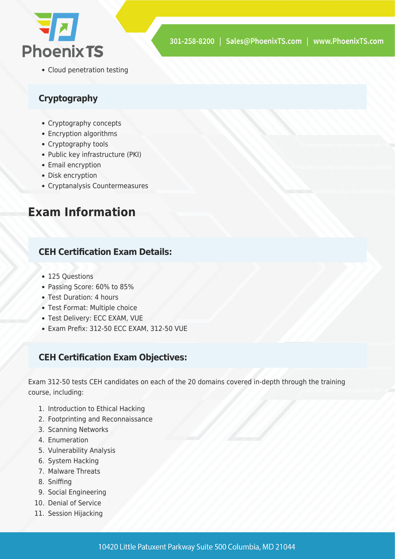

• Cloud penetration testing

#### **Cryptography**

- Cryptography concepts
- Encryption algorithms
- Cryptography tools
- Public key infrastructure (PKI)
- Email encryption
- Disk encryption
- Cryptanalysis Countermeasures

# **Exam Information**

#### **CEH Certification Exam Details:**

- 125 Ouestions
- Passing Score: 60% to 85%
- Test Duration: 4 hours
- Test Format: Multiple choice
- Test Delivery: ECC EXAM, VUE
- Exam Prefix: 312-50 ECC EXAM, 312-50 VUE

#### **CEH Certification Exam Objectives:**

Exam 312-50 tests CEH candidates on each of the 20 domains covered in-depth through the training course, including:

- 1. Introduction to Ethical Hacking
- 2. Footprinting and Reconnaissance
- 3. Scanning Networks
- 4. Enumeration
- 5. Vulnerability Analysis
- 6. System Hacking
- 7. Malware Threats
- 8. Sniffing
- 9. Social Engineering
- 10. Denial of Service
- 11. Session Hijacking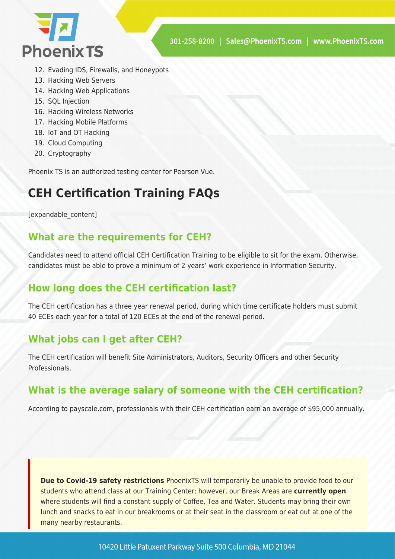

- 12. Evading IDS, Firewalls, and Honeypots
- 13. Hacking Web Servers
- 14. Hacking Web Applications
- 15. SQL Injection
- 16. Hacking Wireless Networks
- 17. Hacking Mobile Platforms
- 18. IoT and OT Hacking
- 19. Cloud Computing
- 20. Cryptography

Phoenix TS is an authorized testing center for Pearson Vue.

# **CEH Certification Training FAQs**

[expandable\_content]

## **What are the requirements for CEH?**

Candidates need to attend official CEH Certification Training to be eligible to sit for the exam. Otherwise, candidates must be able to prove a minimum of 2 years' work experience in Information Security.

## **How long does the CEH certification last?**

The CEH certification has a three year renewal period, during which time certificate holders must submit 40 ECEs each year for a total of 120 ECEs at the end of the renewal period.

# **What jobs can I get after CEH?**

The CEH certification will benefit Site Administrators, Auditors, Security Officers and other Security Professionals.

## **What is the average salary of someone with the CEH certification?**

According to payscale.com, professionals with their CEH certification earn an average of \$95,000 annually.

**Due to Covid-19 safety restrictions** PhoenixTS will temporarily be unable to provide food to our students who attend class at our Training Center; however, our Break Areas are **currently open** where students will find a constant supply of Coffee, Tea and Water. Students may bring their own lunch and snacks to eat in our breakrooms or at their seat in the classroom or eat out at one of the many nearby restaurants.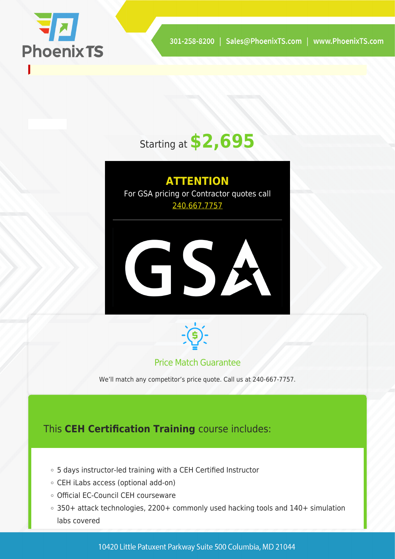

# Starting at **\$2,695**

**ATTENTION** For GSA pricing or Contractor quotes call [240.667.7757](#page--1-0)





#### Price Match Guarantee

We'll match any competitor's price quote. Call us at 240-667-7757.

# This **CEH Certification Training** course includes:

- 5 days instructor-led training with a CEH Certified Instructor
- CEH iLabs access (optional add-on)
- Official EC-Council CEH courseware
- 350+ attack technologies, 2200+ commonly used hacking tools and 140+ simulation labs covered

10420 Little Patuxent Parkway Suite 500 Columbia, MD 21044